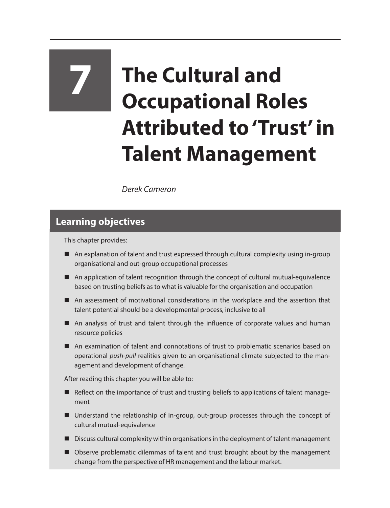# **7 The Cultural and Occupational Roles Attributed to 'Trust' in Talent Management**

*Derek Cameron*

## **Learning objectives**

This chapter provides:

- An explanation of talent and trust expressed through cultural complexity using in-group organisational and out-group occupational processes
- An application of talent recognition through the concept of cultural mutual-equivalence based on trusting beliefs as to what is valuable for the organisation and occupation
- An assessment of motivational considerations in the workplace and the assertion that talent potential should be a developmental process, inclusive to all
- An analysis of trust and talent through the influence of corporate values and human resource policies
- An examination of talent and connotations of trust to problematic scenarios based on operational *push-pull* realities given to an organisational climate subjected to the management and development of change.

After reading this chapter you will be able to:

- Reflect on the importance of trust and trusting beliefs to applications of talent management
- Understand the relationship of in-group, out-group processes through the concept of cultural mutual-equivalence
- Discuss cultural complexity within organisations in the deployment of talent management
- Observe problematic dilemmas of talent and trust brought about by the management change from the perspective of HR management and the labour market.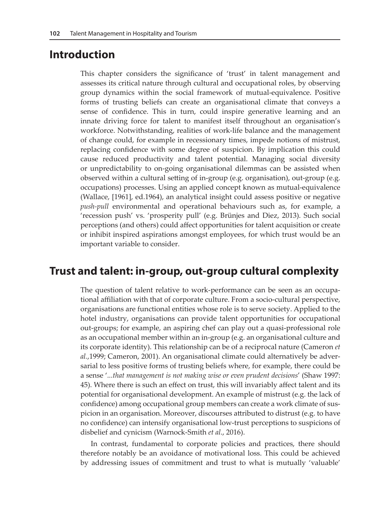#### **Introduction**

This chapter considers the significance of 'trust' in talent management and assesses its critical nature through cultural and occupational roles, by observing group dynamics within the social framework of mutual-equivalence. Positive forms of trusting beliefs can create an organisational climate that conveys a sense of confidence. This in turn, could inspire generative learning and an innate driving force for talent to manifest itself throughout an organisation's workforce. Notwithstanding, realities of work-life balance and the management of change could, for example in recessionary times, impede notions of mistrust, replacing confidence with some degree of suspicion. By implication this could cause reduced productivity and talent potential. Managing social diversity or unpredictability to on-going organisational dilemmas can be assisted when observed within a cultural setting of in-group (e.g. organisation), out-group (e.g. occupations) processes. Using an applied concept known as mutual-equivalence (Wallace, [1961], ed.1964), an analytical insight could assess positive or negative *push-pull* environmental and operational behaviours such as, for example, a 'recession push' vs. 'prosperity pull' (e.g. Brünjes and Diez, 2013). Such social perceptions (and others) could affect opportunities for talent acquisition or create or inhibit inspired aspirations amongst employees, for which trust would be an important variable to consider.

## **Trust and talent: in-group, out-group cultural complexity**

The question of talent relative to work-performance can be seen as an occupational affiliation with that of corporate culture. From a socio-cultural perspective, organisations are functional entities whose role is to serve society. Applied to the hotel industry, organisations can provide talent opportunities for occupational out-groups; for example, an aspiring chef can play out a quasi-professional role as an occupational member within an in-group (e.g. an organisational culture and its corporate identity). This relationship can be of a reciprocal nature (Cameron *et al.*,1999; Cameron, 2001). An organisational climate could alternatively be adversarial to less positive forms of trusting beliefs where, for example, there could be a sense '*...that management is not making wise or even prudent decisions*' (Shaw 1997: 45). Where there is such an effect on trust, this will invariably affect talent and its potential for organisational development. An example of mistrust (e.g. the lack of confidence) among occupational group members can create a work climate of suspicion in an organisation. Moreover, discourses attributed to distrust (e.g. to have no confidence) can intensify organisational low-trust perceptions to suspicions of disbelief and cynicism (Warnock-Smith *et al*., 2016).

In contrast, fundamental to corporate policies and practices, there should therefore notably be an avoidance of motivational loss. This could be achieved by addressing issues of commitment and trust to what is mutually 'valuable'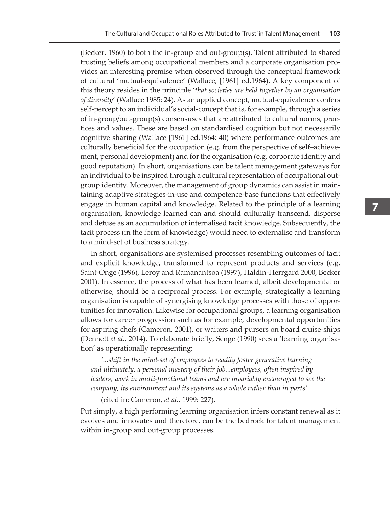(Becker, 1960) to both the in-group and out-group(s). Talent attributed to shared trusting beliefs among occupational members and a corporate organisation provides an interesting premise when observed through the conceptual framework of cultural 'mutual-equivalence' (Wallace, [1961] ed.1964). A key component of this theory resides in the principle '*that societies are held together by an organisation of diversity*' (Wallace 1985: 24). As an applied concept, mutual-equivalence confers self-percept to an individual's social-concept that is, for example, through a series of in-group/out-group(s) consensuses that are attributed to cultural norms, practices and values. These are based on standardised cognition but not necessarily cognitive sharing (Wallace [1961] ed.1964: 40) where performance outcomes are culturally beneficial for the occupation (e.g. from the perspective of self–achievement, personal development) and for the organisation (e.g. corporate identity and good reputation). In short, organisations can be talent management gateways for an individual to be inspired through a cultural representation of occupational outgroup identity. Moreover, the management of group dynamics can assist in maintaining adaptive strategies-in-use and competence-base functions that effectively engage in human capital and knowledge. Related to the principle of a learning organisation, knowledge learned can and should culturally transcend, disperse and defuse as an accumulation of internalised tacit knowledge. Subsequently, the tacit process (in the form of knowledge) would need to externalise and transform to a mind-set of business strategy.

In short, organisations are systemised processes resembling outcomes of tacit and explicit knowledge, transformed to represent products and services (e.g. Saint-Onge (1996), Leroy and Ramanantsoa (1997), Haldin-Herrgard 2000, Becker 2001). In essence, the process of what has been learned, albeit developmental or otherwise, should be a reciprocal process. For example, strategically a learning organisation is capable of synergising knowledge processes with those of opportunities for innovation. Likewise for occupational groups, a learning organisation allows for career progression such as for example, developmental opportunities for aspiring chefs (Cameron, 2001), or waiters and pursers on board cruise-ships (Dennett *et al*., 2014). To elaborate briefly, Senge (1990) sees a 'learning organisation' as operationally representing:

*'...shift in the mind-set of employees to readily foster generative learning and ultimately, a personal mastery of their job...employees, often inspired by*  leaders, work in multi-functional teams and are invariably encouraged to see the *company, its environment and its systems as a whole rather than in parts'*

(cited in: Cameron, *et al*., 1999: 227).

Put simply, a high performing learning organisation infers constant renewal as it evolves and innovates and therefore, can be the bedrock for talent management within in-group and out-group processes.